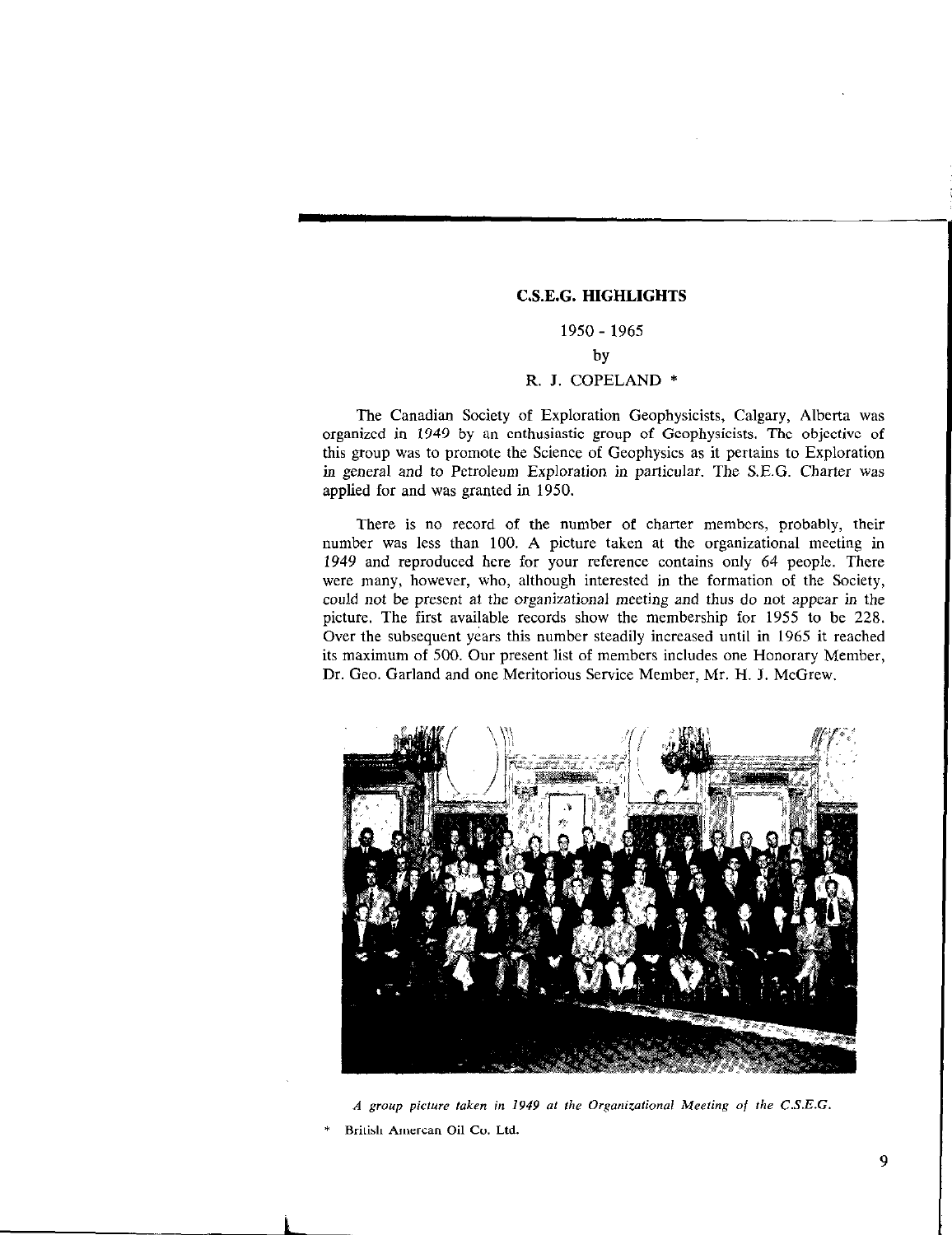## C.S.E.G. HIGHLIGHTS

## 1950 - 1965 by

## R. J. COPELAND \*

The Canadian Society of Exploration Geophysicists, Calgary, Alberta was organized in 1949 by an enthusiastic group of Geophysicists. The objective of this group was to promote the Science of Geophysics as it pertains to Exploration in general and to Petroleum Exploration in particular. The S.E.G. Charter was applied for and was granted in 1950.

There is no record of the number of charter members, probably, their number was less than 100. A picture taken at the organizational meeting in 1949 and reproduced here for your reference contains only 64 people. There were many, however, who, although interested in the formation of the Society, could not be present at the organizational meeting and thus do not appear in the picture. The first available records show the membership for 1955 to be 228. Over the subsequent years this number steadily increased until in 1965 it reached its maximum of 500. Our present list of members includes one Honorary Member, Dr. Gee. Garland and one Meritorious Service Member, Mr. H. 1. McGrew.



A group picture taken in 1949 at the Organizational Meeting of the  $C.S.E.G.$ British Amercan Oil Co. Ltd.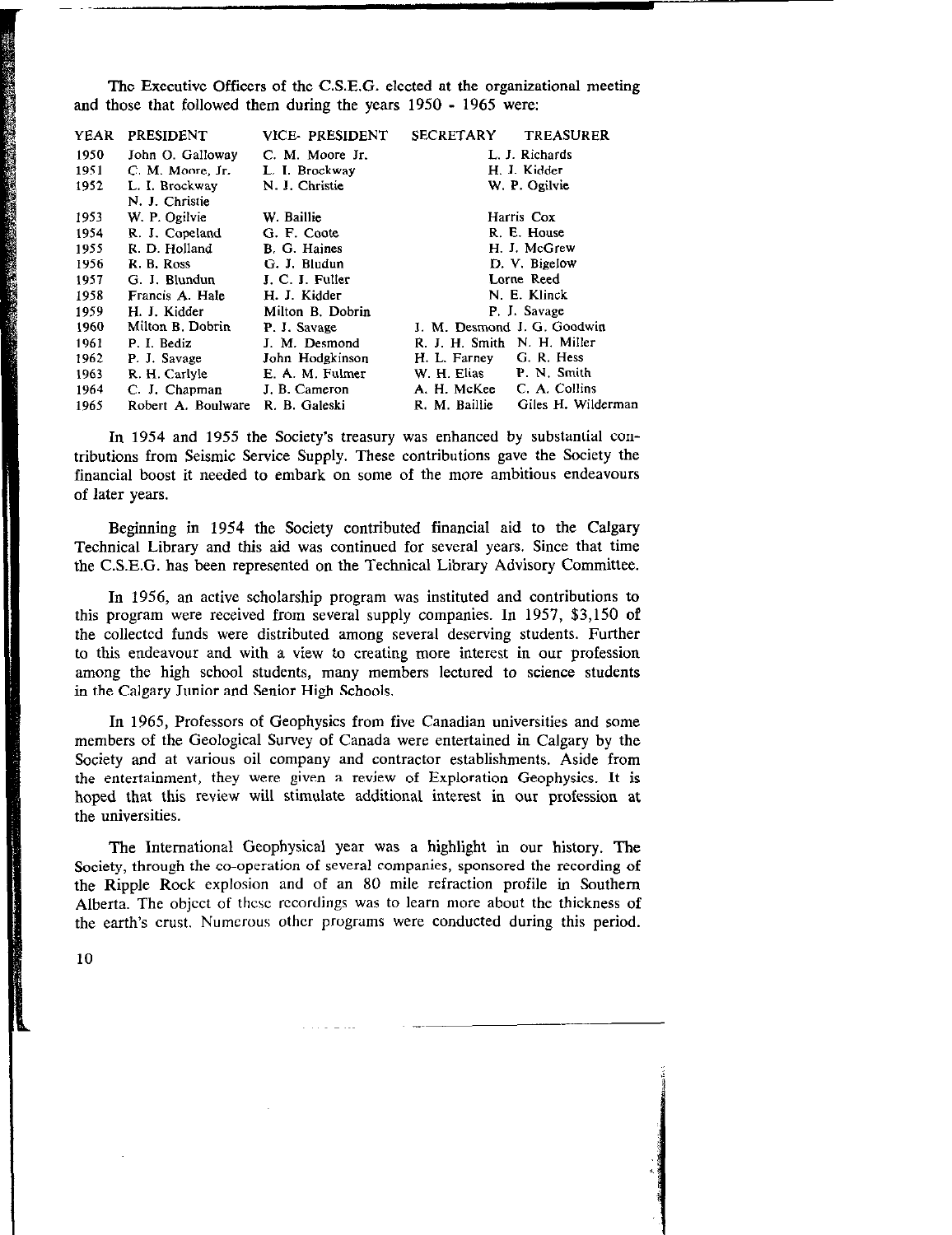The Executive Officers of the C.S.E.G. elected at the organizational meeting and those that followed them during the years 1950 - 1965 were:

| <b>YEAR</b> | <b>PRESIDENT</b>   | <b>VICE-PRESIDENT</b> | <b>SECRETARY</b><br><b>TREASURER</b> |  |
|-------------|--------------------|-----------------------|--------------------------------------|--|
| 1950        | John O. Galloway   | C. M. Moore Jr.       | L. J. Richards                       |  |
| 1951        | C. M. Moore, Jr.   | L. I. Brockway        | H. J. Kidder                         |  |
| 1952        | L. I. Brockway     | N. J. Christie        | W. P. Ogilvie                        |  |
|             | N. J. Christie     |                       |                                      |  |
| 1953        | W. P. Ogilvie      | W. Baillie            | Harris Cox                           |  |
| 1954        | R. J. Copeland     | G. F. Coote           | R. E. House                          |  |
| 1955        | R. D. Holland      | B. G. Haines          | H. J. McGrew                         |  |
| 1956        | R. B. Ross         | G. J. Bludun          | D. V. Bigelow                        |  |
| 1957        | G. J. Blundun      | J. C. J. Fuller       | Lorne Reed                           |  |
| 1958        | Francis A. Hale    | H. J. Kidder          | N. E. Klinck                         |  |
| 1959        | H. J. Kidder       | Milton B. Dobrin      | P. J. Savage                         |  |
| 1960        | Milton B. Dobrin   | P. J. Savage          | J. M. Desmond J. G. Goodwin          |  |
| 1961        | P. I. Bediz        | J. M. Desmond         | R. J. H. Smith N. H. Miller          |  |
| 1962        | P. J. Savage       | John Hodgkinson       | G. R. Hess<br>H. L. Farney           |  |
| 1963        | R. H. Carlyle      | E. A. M. Fulmer       | P. N. Smith<br>W. H. Elias           |  |
| 1964        | C. J. Chapman      | J. B. Cameron         | C. A. Collins<br>A. H. McKee         |  |
| 1965        | Robert A. Boulware | R. B. Galeski         | Giles H. Wilderman<br>R. M. Baillie  |  |

In 1954 and 1955 the Society's treasury was enhanced by substantial contributions from Seismic Service Supply. These contributions gave the Society the financial boost it needed to embark on some of the more ambitious endeavours of later years.

Beginning in 1954 the Society contributed financial aid to the Calgary Technical Library and this aid was continued for several years. Since that time the C.S.E.G. has been represented on the Technical Library Advisory Committee.

In 1956, an active scholarship program was instituted and contributions to this program were received from several supply companies. In 1957, \$3,150 of the collected funds were distributed among several deserving students. Further to this endeavour and with a view to creating more interest in our profession among the high school students, many members lectured to science students in the Calgary Junior and Senior High Schools.

In 1965, Professors of Geophysics from five Canadian universities and some members of the Geological Survey of Canada were entertained in Calgary by the Society and at various oil company and contractor establishments. Aside from the entertainment, they were given a review of Exploration Geophysics. It is hoped that this review will stimulate additional interest in our profession at the universities.

The International Geophysical year was a highlight in our history. The Society, through the co-operation of several companies, sponsored the recording of the Ripple Rock explosion and of an 80 mile refraction profile in Southern Alberta. The object of thcsc recordings was to learn more about the thickness of the earth's crust. Numerous other programs were conducted during this period.

10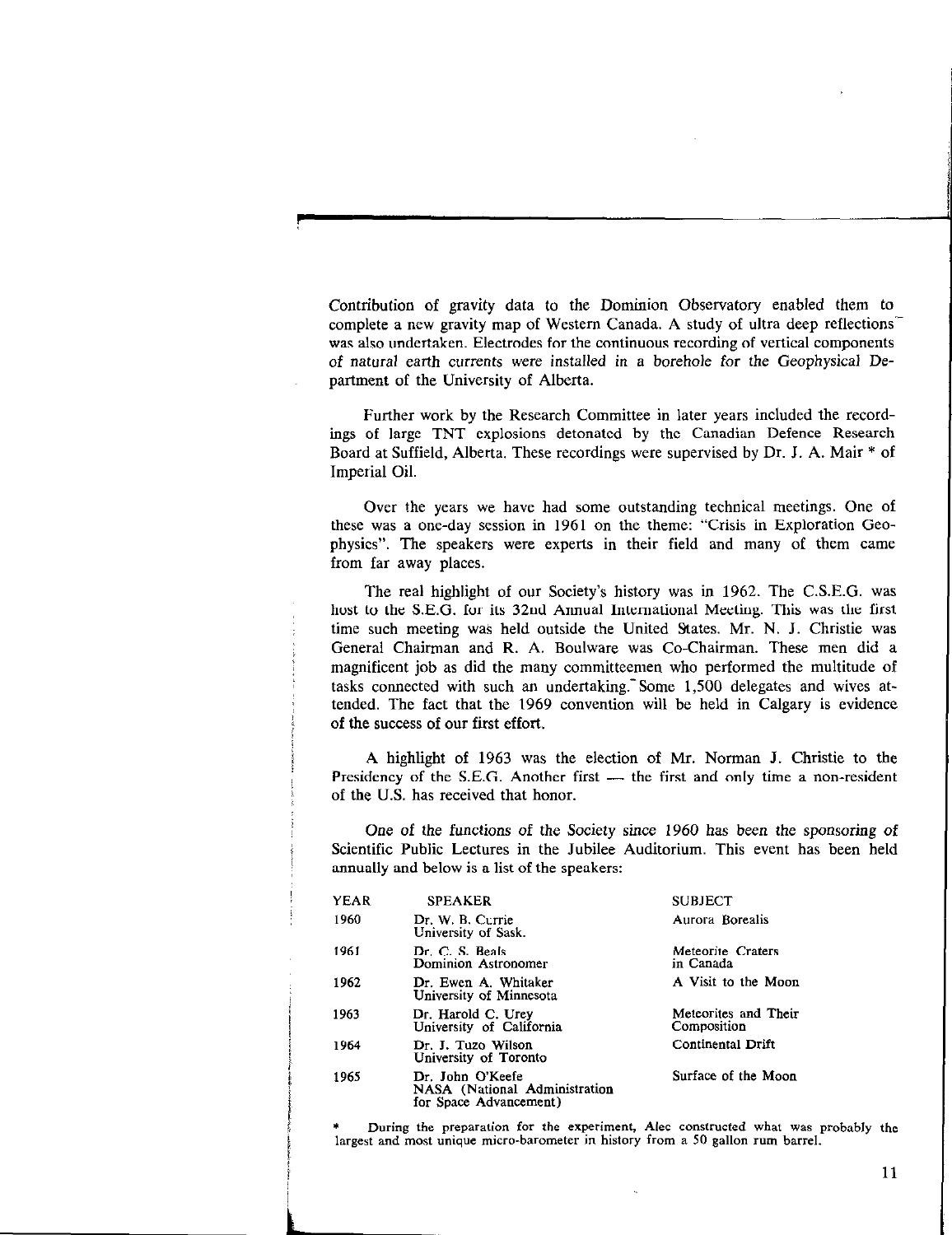Contribution of gravity data to the Dominion Observatory enabled them to complete a new gravity map of Western Canada. A study of ultra deep reflections' was also undertaken. Electrodes for the continuous recording of vertical components of natural earth currents were installed in a borehole for the Geophysical Department of the University of Alberta.

Further work by the Research Committee in later years included the recordings of large TNT explosions detonated by the Canadian Defence Research Board at Suffield, Alberta. These recordings were supervised by Dr. J. A. Mair \* of Imperial Oil.

Over the years we have had some outstanding technical meetings. One of these was a one-day session in 1961 on the theme: "Crisis in Exploration Geophysics". The speakers were experts in their field and many of them came from far away places.

The real highlight of our Society's history was in 1962. The C.S.E.G. was host to the S.E.G. for its 32nd Annual International Meeting. This was the first time such meeting was held outside the United States. Mr. N. J. Christie was General Chairman and R. A. Boulware was Co-Chairman. These men did a magnificent job as did the many committeemen who performed the multitude of tasks connected with such an undertaking. Some 1,500 delegates and wives attended. The fact that the 1969 convention will be held in Calgary is evidence of the swcess of our first effort.

A highlight of 1963 was the election of Mr. Norman I. Christie to the Presidency of the S.E.G. Another first  $-$  the first and only time a non-resident of the U.S. has received that honor.

One of the functions of the Society since 1960 has been the sponsoring of Scientific Public Lectures in the Jubilee Auditorium. This event has been held annually and below is a list of the speakers:

| YEAR | <b>SPEAKER</b>                                                              | <b>SUBJECT</b>                      |
|------|-----------------------------------------------------------------------------|-------------------------------------|
| 1960 | Dr. W. B. Currie<br>University of Sask.                                     | Aurora Borealis                     |
| 1961 | Dr. C. S. Beals<br>Dominion Astronomer                                      | Meteorite Craters<br>in Canada      |
| 1962 | Dr. Ewen A. Whitaker<br>University of Minnesota                             | A Visit to the Moon                 |
| 1963 | Dr. Harold C. Urev<br>University of California                              | Meteorites and Their<br>Composition |
| 1964 | Dr. J. Tuzo Wilson<br>University of Toronto                                 | Continental Drift                   |
| 1965 | Dr. John O'Keefe<br>NASA (National Administration<br>for Space Advancement) | Surface of the Moon                 |

During the preparation for the experiment, Alec constructed what was probably the largest and most unique micro-barometer in history from a 50 gallon rum barrel.